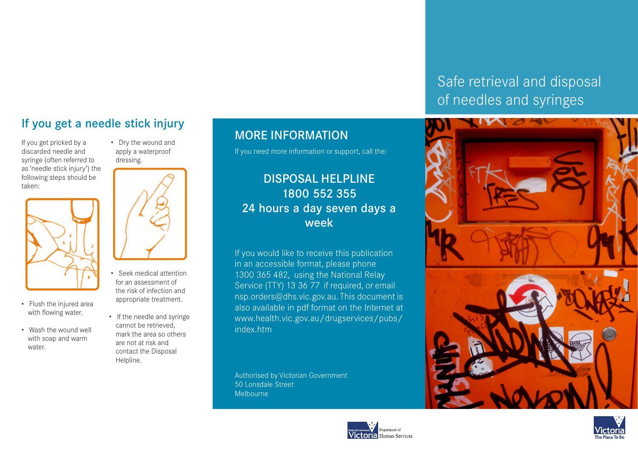## If you get a needle stick injury

If you get pricked by a discarded needle and syringe (often referred to as 'needle stick injury') the following steps should be taken:



- Flush the injured area with flowing water.
- Wash the wound well with soap and warm water.

 • Dry the wound and apply a waterproof dressing.



- Seek medical attention for an assessment of the risk of infection and appropriate treatment.
- If the needle and syringe cannot be retrieved, mark the area so others are not at risk and contact the Disposal Helpline.

#### MORE INFORMATION

If you need more information or support, call the:

#### DISPOSAL HELPLINE 1800 552 355 24 hours a day seven days a week

If you would like to receive this publication in an accessible format, please phone 1300 365 482, using the National Relay Service (TTY) 13 36 77 if required, or email nsp.orders@dhs.vic.gov.au. This document is also available in pdf format on the Internet at www.health.vic.gov.au/drugservices/pubs/ index.htm

Authorised by Victorian Government 50 Lonsdale Street Melbourne